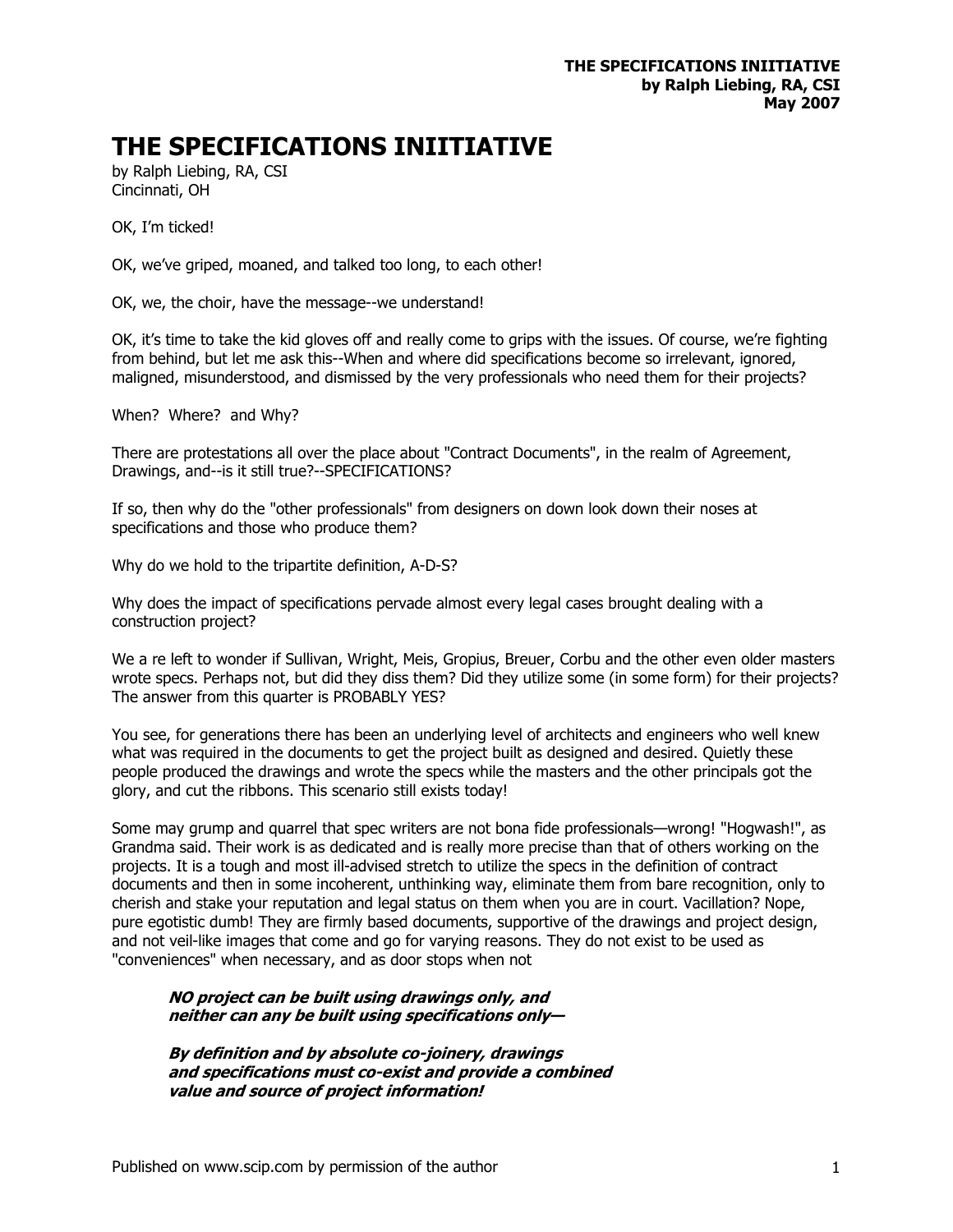## **THE SPECIFICATIONS INIITIATIVE**

by Ralph Liebing, RA, CSI Cincinnati, OH

OK, I'm ticked!

OK, we've griped, moaned, and talked too long, to each other!

OK, we, the choir, have the message--we understand!

OK, it's time to take the kid gloves off and really come to grips with the issues. Of course, we're fighting from behind, but let me ask this--When and where did specifications become so irrelevant, ignored, maligned, misunderstood, and dismissed by the very professionals who need them for their projects?

When? Where? and Why?

There are protestations all over the place about "Contract Documents", in the realm of Agreement, Drawings, and--is it still true?--SPECIFICATIONS?

If so, then why do the "other professionals" from designers on down look down their noses at specifications and those who produce them?

Why do we hold to the tripartite definition, A-D-S?

Why does the impact of specifications pervade almost every legal cases brought dealing with a construction project?

We a re left to wonder if Sullivan, Wright, Meis, Gropius, Breuer, Corbu and the other even older masters wrote specs. Perhaps not, but did they diss them? Did they utilize some (in some form) for their projects? The answer from this quarter is PROBABLY YES?

You see, for generations there has been an underlying level of architects and engineers who well knew what was required in the documents to get the project built as designed and desired. Quietly these people produced the drawings and wrote the specs while the masters and the other principals got the glory, and cut the ribbons. This scenario still exists today!

Some may grump and quarrel that spec writers are not bona fide professionals—wrong! "Hogwash!", as Grandma said. Their work is as dedicated and is really more precise than that of others working on the projects. It is a tough and most ill-advised stretch to utilize the specs in the definition of contract documents and then in some incoherent, unthinking way, eliminate them from bare recognition, only to cherish and stake your reputation and legal status on them when you are in court. Vacillation? Nope, pure egotistic dumb! They are firmly based documents, supportive of the drawings and project design, and not veil-like images that come and go for varying reasons. They do not exist to be used as "conveniences" when necessary, and as door stops when not

## **NO project can be built using drawings only, and neither can any be built using specifications only—**

 **By definition and by absolute co-joinery, drawings and specifications must co-exist and provide a combined value and source of project information!**